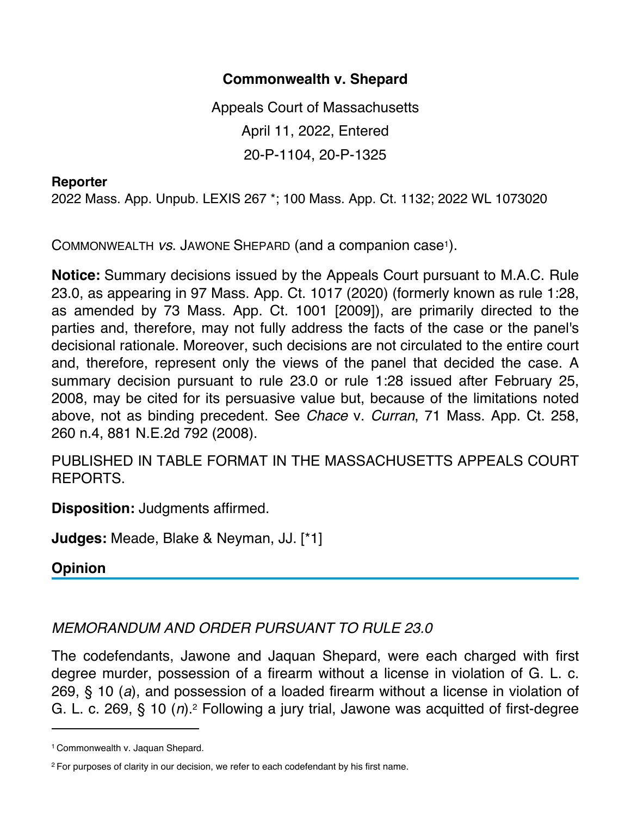## **Commonwealth v. Shepard**

Appeals Court of Massachusetts April 11, 2022, Entered 20-P-1104, 20-P-1325

## **Reporter**

2022 Mass. App. Unpub. LEXIS 267 \*; 100 Mass. App. Ct. 1132; 2022 WL 1073020

COMMONWEALTH *vs*. JAWONE SHEPARD (and a companion case1).

**Notice:** Summary decisions issued by the Appeals Court pursuant to M.A.C. Rule 23.0, as appearing in 97 Mass. App. Ct. 1017 (2020) (formerly known as rule 1:28, as amended by 73 Mass. App. Ct. 1001 [2009]), are primarily directed to the parties and, therefore, may not fully address the facts of the case or the panel's decisional rationale. Moreover, such decisions are not circulated to the entire court and, therefore, represent only the views of the panel that decided the case. A summary decision pursuant to rule 23.0 or rule 1:28 issued after February 25, 2008, may be cited for its persuasive value but, because of the limitations noted above, not as binding precedent. See *Chace* v. *Curran*, 71 Mass. App. Ct. 258, 260 n.4, 881 N.E.2d 792 (2008).

PUBLISHED IN TABLE FORMAT IN THE MASSACHUSETTS APPEALS COURT REPORTS.

**Disposition:** Judgments affirmed.

**Judges:** Meade, Blake & Neyman, JJ. [\*1]

**Opinion**

## *MEMORANDUM AND ORDER PURSUANT TO RULE 23.0*

The codefendants, Jawone and Jaquan Shepard, were each charged with first degree murder, possession of a firearm without a license in violation of G. L. c. 269, § 10 (*a*), and possession of a loaded firearm without a license in violation of G. L. c. 269, § 10 (*n*).2 Following a jury trial, Jawone was acquitted of first-degree

<sup>1</sup> Commonwealth v. Jaquan Shepard.

<sup>2</sup> For purposes of clarity in our decision, we refer to each codefendant by his first name.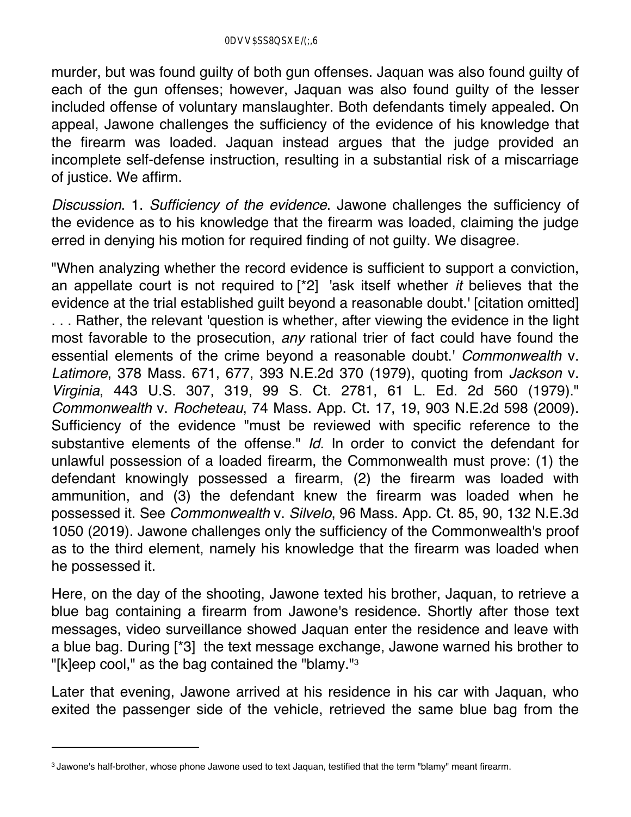murder, but was found guilty of both gun offenses. Jaquan was also found guilty of each of the gun offenses; however, Jaquan was also found guilty of the lesser included offense of voluntary manslaughter. Both defendants timely appealed. On appeal, Jawone challenges the sufficiency of the evidence of his knowledge that the firearm was loaded. Jaquan instead argues that the judge provided an incomplete self-defense instruction, resulting in a substantial risk of a miscarriage of justice. We affirm.

*Discussion*. 1. *Sufficiency of the evidence*. Jawone challenges the sufficiency of the evidence as to his knowledge that the firearm was loaded, claiming the judge erred in denying his motion for required finding of not guilty. We disagree.

"When analyzing whether the record evidence is sufficient to support a conviction, an appellate court is not required to [\*2] 'ask itself whether *it* believes that the evidence at the trial established guilt beyond a reasonable doubt.' [citation omitted] . . . Rather, the relevant 'question is whether, after viewing the evidence in the light most favorable to the prosecution, *any* rational trier of fact could have found the essential elements of the crime beyond a reasonable doubt.' *Commonwealth* v. *Latimore*, 378 Mass. 671, 677, 393 N.E.2d 370 (1979), quoting from *Jackson* v. *Virginia*, 443 U.S. 307, 319, 99 S. Ct. 2781, 61 L. Ed. 2d 560 (1979)." *Commonwealth* v. *Rocheteau*, 74 Mass. App. Ct. 17, 19, 903 N.E.2d 598 (2009). Sufficiency of the evidence "must be reviewed with specific reference to the substantive elements of the offense." *Id.* In order to convict the defendant for unlawful possession of a loaded firearm, the Commonwealth must prove: (1) the defendant knowingly possessed a firearm, (2) the firearm was loaded with ammunition, and (3) the defendant knew the firearm was loaded when he possessed it. See *Commonwealth* v. *Silvelo*, 96 Mass. App. Ct. 85, 90, 132 N.E.3d 1050 (2019). Jawone challenges only the sufficiency of the Commonwealth's proof as to the third element, namely his knowledge that the firearm was loaded when he possessed it.

Here, on the day of the shooting, Jawone texted his brother, Jaquan, to retrieve a blue bag containing a firearm from Jawone's residence. Shortly after those text messages, video surveillance showed Jaquan enter the residence and leave with a blue bag. During [\*3] the text message exchange, Jawone warned his brother to "[k]eep cool," as the bag contained the "blamy."3

Later that evening, Jawone arrived at his residence in his car with Jaquan, who exited the passenger side of the vehicle, retrieved the same blue bag from the

<sup>3</sup> Jawone's half-brother, whose phone Jawone used to text Jaquan, testified that the term "blamy" meant firearm.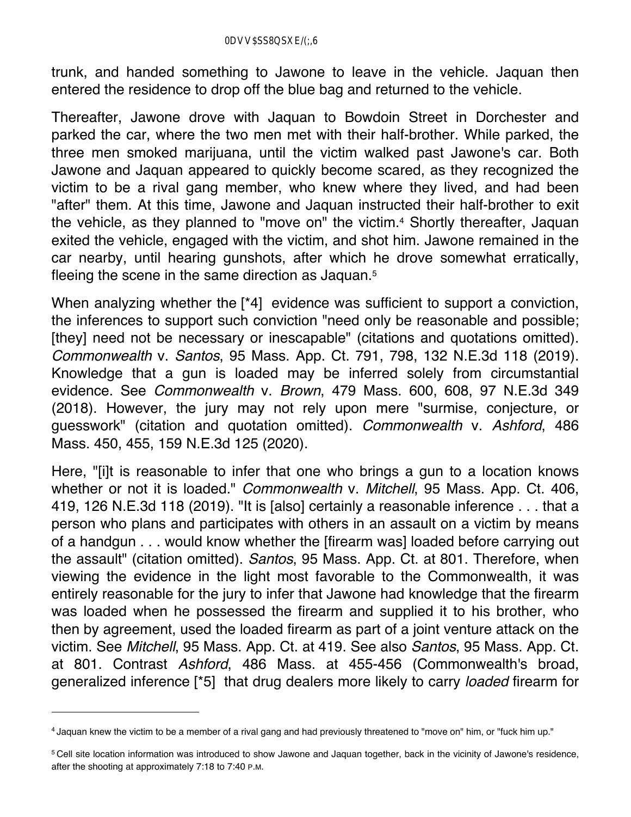trunk, and handed something to Jawone to leave in the vehicle. Jaquan then entered the residence to drop off the blue bag and returned to the vehicle.

Thereafter, Jawone drove with Jaquan to Bowdoin Street in Dorchester and parked the car, where the two men met with their half-brother. While parked, the three men smoked marijuana, until the victim walked past Jawone's car. Both Jawone and Jaquan appeared to quickly become scared, as they recognized the victim to be a rival gang member, who knew where they lived, and had been "after" them. At this time, Jawone and Jaquan instructed their half-brother to exit the vehicle, as they planned to "move on" the victim.<sup>4</sup> Shortly thereafter, Jaquan exited the vehicle, engaged with the victim, and shot him. Jawone remained in the car nearby, until hearing gunshots, after which he drove somewhat erratically, fleeing the scene in the same direction as Jaquan.5

When analyzing whether the [\*4] evidence was sufficient to support a conviction, the inferences to support such conviction "need only be reasonable and possible; [they] need not be necessary or inescapable" (citations and quotations omitted). *Commonwealth* v. *Santos*, 95 Mass. App. Ct. 791, 798, 132 N.E.3d 118 (2019). Knowledge that a gun is loaded may be inferred solely from circumstantial evidence. See *Commonwealth* v. *Brown*, 479 Mass. 600, 608, 97 N.E.3d 349 (2018). However, the jury may not rely upon mere "surmise, conjecture, or guesswork" (citation and quotation omitted). *Commonwealth* v. *Ashford*, 486 Mass. 450, 455, 159 N.E.3d 125 (2020).

Here, "[i]t is reasonable to infer that one who brings a gun to a location knows whether or not it is loaded." *Commonwealth* v. *Mitchell*, 95 Mass. App. Ct. 406, 419, 126 N.E.3d 118 (2019). "It is [also] certainly a reasonable inference . . . that a person who plans and participates with others in an assault on a victim by means of a handgun . . . would know whether the [firearm was] loaded before carrying out the assault" (citation omitted). *Santos*, 95 Mass. App. Ct. at 801. Therefore, when viewing the evidence in the light most favorable to the Commonwealth, it was entirely reasonable for the jury to infer that Jawone had knowledge that the firearm was loaded when he possessed the firearm and supplied it to his brother, who then by agreement, used the loaded firearm as part of a joint venture attack on the victim. See *Mitchell*, 95 Mass. App. Ct. at 419. See also *Santos*, 95 Mass. App. Ct. at 801. Contrast *Ashford*, 486 Mass. at 455-456 (Commonwealth's broad, generalized inference [\*5] that drug dealers more likely to carry *loaded* firearm for

<sup>4</sup> Jaquan knew the victim to be a member of a rival gang and had previously threatened to "move on" him, or "fuck him up."

<sup>5</sup> Cell site location information was introduced to show Jawone and Jaquan together, back in the vicinity of Jawone's residence, after the shooting at approximately 7:18 to 7:40 P.M.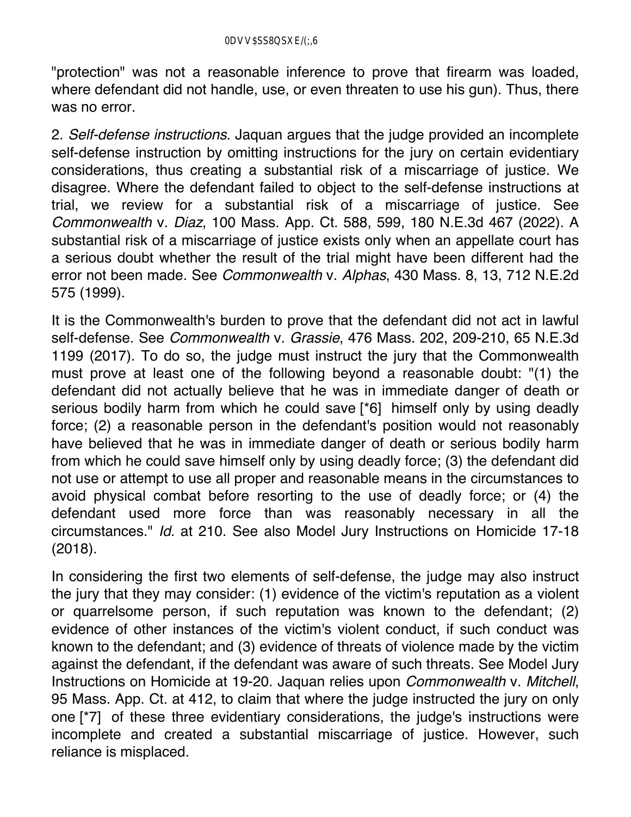"protection" was not a reasonable inference to prove that firearm was loaded, where defendant did not handle, use, or even threaten to use his gun). Thus, there was no error.

2. *Self-defense instructions*. Jaquan argues that the judge provided an incomplete self-defense instruction by omitting instructions for the jury on certain evidentiary considerations, thus creating a substantial risk of a miscarriage of justice. We disagree. Where the defendant failed to object to the self-defense instructions at trial, we review for a substantial risk of a miscarriage of justice. See *Commonwealth* v. *Diaz*, 100 Mass. App. Ct. 588, 599, 180 N.E.3d 467 (2022). A substantial risk of a miscarriage of justice exists only when an appellate court has a serious doubt whether the result of the trial might have been different had the error not been made. See *Commonwealth* v. *Alphas*, 430 Mass. 8, 13, 712 N.E.2d 575 (1999).

It is the Commonwealth's burden to prove that the defendant did not act in lawful self-defense. See *Commonwealth* v. *Grassie*, 476 Mass. 202, 209-210, 65 N.E.3d 1199 (2017). To do so, the judge must instruct the jury that the Commonwealth must prove at least one of the following beyond a reasonable doubt: "(1) the defendant did not actually believe that he was in immediate danger of death or serious bodily harm from which he could save [\*6] himself only by using deadly force; (2) a reasonable person in the defendant's position would not reasonably have believed that he was in immediate danger of death or serious bodily harm from which he could save himself only by using deadly force; (3) the defendant did not use or attempt to use all proper and reasonable means in the circumstances to avoid physical combat before resorting to the use of deadly force; or (4) the defendant used more force than was reasonably necessary in all the circumstances." *Id.* at 210. See also Model Jury Instructions on Homicide 17-18 (2018).

In considering the first two elements of self-defense, the judge may also instruct the jury that they may consider: (1) evidence of the victim's reputation as a violent or quarrelsome person, if such reputation was known to the defendant; (2) evidence of other instances of the victim's violent conduct, if such conduct was known to the defendant; and (3) evidence of threats of violence made by the victim against the defendant, if the defendant was aware of such threats. See Model Jury Instructions on Homicide at 19-20. Jaquan relies upon *Commonwealth* v. *Mitchell*, 95 Mass. App. Ct. at 412, to claim that where the judge instructed the jury on only one [\*7] of these three evidentiary considerations, the judge's instructions were incomplete and created a substantial miscarriage of justice. However, such reliance is misplaced.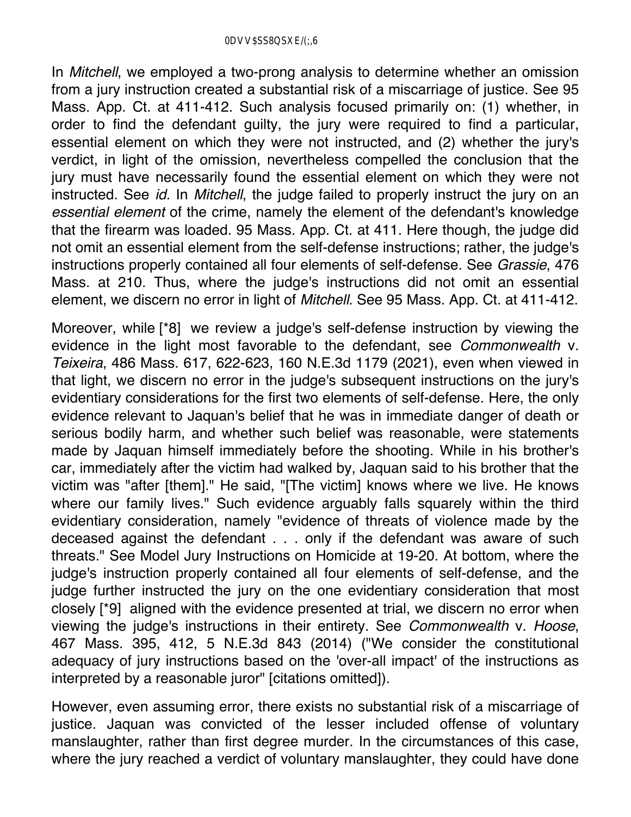In *Mitchell*, we employed a two-prong analysis to determine whether an omission from a jury instruction created a substantial risk of a miscarriage of justice. See 95 Mass. App. Ct. at 411-412. Such analysis focused primarily on: (1) whether, in order to find the defendant guilty, the jury were required to find a particular, essential element on which they were not instructed, and (2) whether the jury's verdict, in light of the omission, nevertheless compelled the conclusion that the jury must have necessarily found the essential element on which they were not instructed. See *id.* In *Mitchell*, the judge failed to properly instruct the jury on an *essential element* of the crime, namely the element of the defendant's knowledge that the firearm was loaded. 95 Mass. App. Ct. at 411. Here though, the judge did not omit an essential element from the self-defense instructions; rather, the judge's instructions properly contained all four elements of self-defense. See *Grassie*, 476 Mass. at 210. Thus, where the judge's instructions did not omit an essential element, we discern no error in light of *Mitchell*. See 95 Mass. App. Ct. at 411-412.

Moreover, while [\*8] we review a judge's self-defense instruction by viewing the evidence in the light most favorable to the defendant, see *Commonwealth* v. *Teixeira*, 486 Mass. 617, 622-623, 160 N.E.3d 1179 (2021), even when viewed in that light, we discern no error in the judge's subsequent instructions on the jury's evidentiary considerations for the first two elements of self-defense. Here, the only evidence relevant to Jaquan's belief that he was in immediate danger of death or serious bodily harm, and whether such belief was reasonable, were statements made by Jaquan himself immediately before the shooting. While in his brother's car, immediately after the victim had walked by, Jaquan said to his brother that the victim was "after [them]." He said, "[The victim] knows where we live. He knows where our family lives." Such evidence arguably falls squarely within the third evidentiary consideration, namely "evidence of threats of violence made by the deceased against the defendant . . . only if the defendant was aware of such threats." See Model Jury Instructions on Homicide at 19-20. At bottom, where the judge's instruction properly contained all four elements of self-defense, and the judge further instructed the jury on the one evidentiary consideration that most closely [\*9] aligned with the evidence presented at trial, we discern no error when viewing the judge's instructions in their entirety. See *Commonwealth* v. *Hoose*, 467 Mass. 395, 412, 5 N.E.3d 843 (2014) ("We consider the constitutional adequacy of jury instructions based on the 'over-all impact' of the instructions as interpreted by a reasonable juror" [citations omitted]).

However, even assuming error, there exists no substantial risk of a miscarriage of justice. Jaquan was convicted of the lesser included offense of voluntary manslaughter, rather than first degree murder. In the circumstances of this case, where the jury reached a verdict of voluntary manslaughter, they could have done